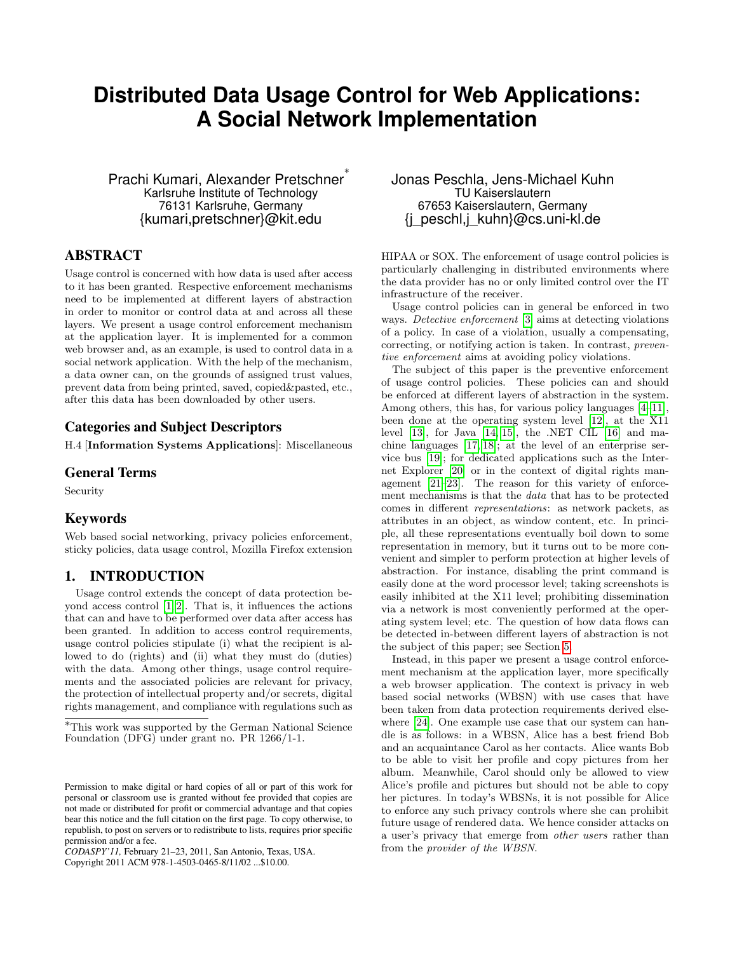# **Distributed Data Usage Control for Web Applications: A Social Network Implementation**

Prachi Kumari, Alexander Pretschner ∗ Karlsruhe Institute of Technology 76131 Karlsruhe, Germany {kumari,pretschner}@kit.edu

## ABSTRACT

Usage control is concerned with how data is used after access to it has been granted. Respective enforcement mechanisms need to be implemented at different layers of abstraction in order to monitor or control data at and across all these layers. We present a usage control enforcement mechanism at the application layer. It is implemented for a common web browser and, as an example, is used to control data in a social network application. With the help of the mechanism, a data owner can, on the grounds of assigned trust values, prevent data from being printed, saved, copied&pasted, etc., after this data has been downloaded by other users.

## Categories and Subject Descriptors

H.4 [Information Systems Applications]: Miscellaneous

### General Terms

Security

### Keywords

Web based social networking, privacy policies enforcement, sticky policies, data usage control, Mozilla Firefox extension

# <span id="page-0-0"></span>1. INTRODUCTION

Usage control extends the concept of data protection beyond access control  $[1, 2]$  $[1, 2]$ . That is, it influences the actions that can and have to be performed over data after access has been granted. In addition to access control requirements, usage control policies stipulate (i) what the recipient is allowed to do (rights) and (ii) what they must do (duties) with the data. Among other things, usage control requirements and the associated policies are relevant for privacy, the protection of intellectual property and/or secrets, digital rights management, and compliance with regulations such as

*CODASPY'11,* February 21–23, 2011, San Antonio, Texas, USA.

Copyright 2011 ACM 978-1-4503-0465-8/11/02 ...\$10.00.

Jonas Peschla, Jens-Michael Kuhn TU Kaiserslautern 67653 Kaiserslautern, Germany {j\_peschl,j\_kuhn}@cs.uni-kl.de

HIPAA or SOX. The enforcement of usage control policies is particularly challenging in distributed environments where the data provider has no or only limited control over the IT infrastructure of the receiver.

Usage control policies can in general be enforced in two ways. Detective enforcement [\[3\]](#page-10-2) aims at detecting violations of a policy. In case of a violation, usually a compensating, correcting, or notifying action is taken. In contrast, preventive enforcement aims at avoiding policy violations.

The subject of this paper is the preventive enforcement of usage control policies. These policies can and should be enforced at different layers of abstraction in the system. Among others, this has, for various policy languages [\[4–](#page-10-3)[11\]](#page-10-4), been done at the operating system level [\[12\]](#page-10-5), at the X11 level [\[13\]](#page-10-6), for Java [\[14,](#page-10-7) [15\]](#page-10-8), the .NET CIL [\[16\]](#page-10-9) and machine languages [\[17,](#page-10-10) [18\]](#page-10-11); at the level of an enterprise service bus [\[19\]](#page-10-12); for dedicated applications such as the Internet Explorer [\[20\]](#page-10-13) or in the context of digital rights management [\[21–](#page-10-14)[23\]](#page-10-15). The reason for this variety of enforcement mechanisms is that the data that has to be protected comes in different representations: as network packets, as attributes in an object, as window content, etc. In principle, all these representations eventually boil down to some representation in memory, but it turns out to be more convenient and simpler to perform protection at higher levels of abstraction. For instance, disabling the print command is easily done at the word processor level; taking screenshots is easily inhibited at the X11 level; prohibiting dissemination via a network is most conveniently performed at the operating system level; etc. The question of how data flows can be detected in-between different layers of abstraction is not the subject of this paper; see Section [5.](#page-9-0)

Instead, in this paper we present a usage control enforcement mechanism at the application layer, more specifically a web browser application. The context is privacy in web based social networks (WBSN) with use cases that have been taken from data protection requirements derived elsewhere [\[24\]](#page-10-16). One example use case that our system can handle is as follows: in a WBSN, Alice has a best friend Bob and an acquaintance Carol as her contacts. Alice wants Bob to be able to visit her profile and copy pictures from her album. Meanwhile, Carol should only be allowed to view Alice's profile and pictures but should not be able to copy her pictures. In today's WBSNs, it is not possible for Alice to enforce any such privacy controls where she can prohibit future usage of rendered data. We hence consider attacks on a user's privacy that emerge from other users rather than from the provider of the WBSN.

<sup>∗</sup>This work was supported by the German National Science Foundation (DFG) under grant no. PR 1266/1-1.

Permission to make digital or hard copies of all or part of this work for personal or classroom use is granted without fee provided that copies are not made or distributed for profit or commercial advantage and that copies bear this notice and the full citation on the first page. To copy otherwise, to republish, to post on servers or to redistribute to lists, requires prior specific permission and/or a fee.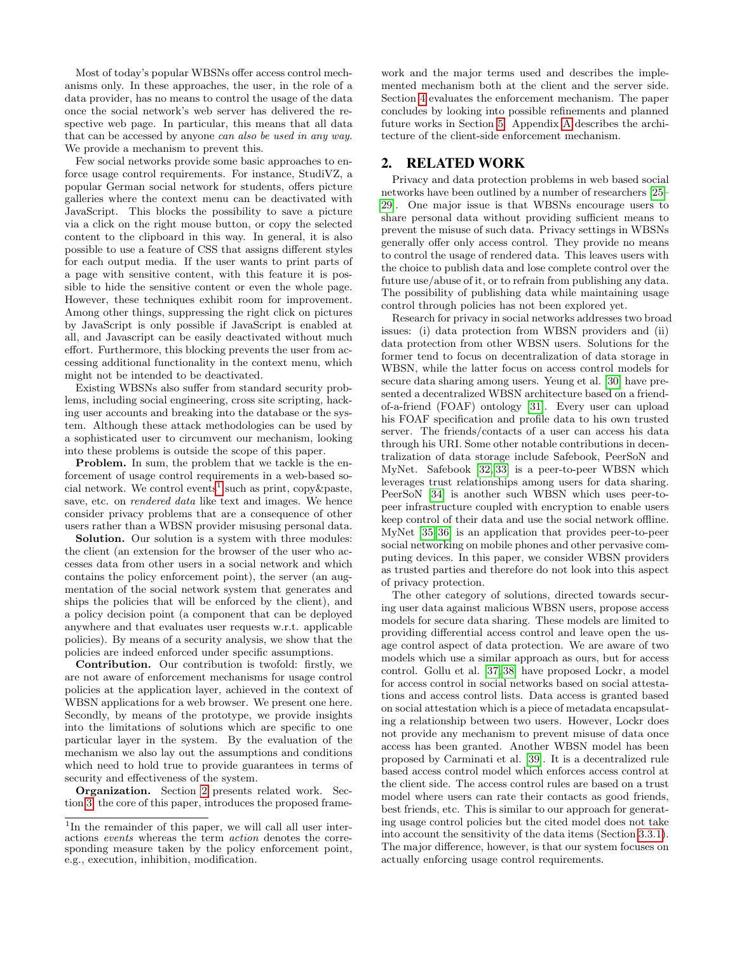Most of today's popular WBSNs offer access control mechanisms only. In these approaches, the user, in the role of a data provider, has no means to control the usage of the data once the social network's web server has delivered the respective web page. In particular, this means that all data that can be accessed by anyone can also be used in any way. We provide a mechanism to prevent this.

Few social networks provide some basic approaches to enforce usage control requirements. For instance, StudiVZ, a popular German social network for students, offers picture galleries where the context menu can be deactivated with JavaScript. This blocks the possibility to save a picture via a click on the right mouse button, or copy the selected content to the clipboard in this way. In general, it is also possible to use a feature of CSS that assigns different styles for each output media. If the user wants to print parts of a page with sensitive content, with this feature it is possible to hide the sensitive content or even the whole page. However, these techniques exhibit room for improvement. Among other things, suppressing the right click on pictures by JavaScript is only possible if JavaScript is enabled at all, and Javascript can be easily deactivated without much effort. Furthermore, this blocking prevents the user from accessing additional functionality in the context menu, which might not be intended to be deactivated.

Existing WBSNs also suffer from standard security problems, including social engineering, cross site scripting, hacking user accounts and breaking into the database or the system. Although these attack methodologies can be used by a sophisticated user to circumvent our mechanism, looking into these problems is outside the scope of this paper.

Problem. In sum, the problem that we tackle is the enforcement of usage control requirements in a web-based so-cial network. We control events<sup>[1](#page-1-0)</sup> such as print, copy & paste, save, etc. on rendered data like text and images. We hence consider privacy problems that are a consequence of other users rather than a WBSN provider misusing personal data.

Solution. Our solution is a system with three modules: the client (an extension for the browser of the user who accesses data from other users in a social network and which contains the policy enforcement point), the server (an augmentation of the social network system that generates and ships the policies that will be enforced by the client), and a policy decision point (a component that can be deployed anywhere and that evaluates user requests w.r.t. applicable policies). By means of a security analysis, we show that the policies are indeed enforced under specific assumptions.

Contribution. Our contribution is twofold: firstly, we are not aware of enforcement mechanisms for usage control policies at the application layer, achieved in the context of WBSN applications for a web browser. We present one here. Secondly, by means of the prototype, we provide insights into the limitations of solutions which are specific to one particular layer in the system. By the evaluation of the mechanism we also lay out the assumptions and conditions which need to hold true to provide guarantees in terms of security and effectiveness of the system.

Organization. Section [2](#page-1-1) presents related work. Section [3,](#page-2-0) the core of this paper, introduces the proposed framework and the major terms used and describes the implemented mechanism both at the client and the server side. Section [4](#page-6-0) evaluates the enforcement mechanism. The paper concludes by looking into possible refinements and planned future works in Section [5.](#page-9-0) Appendix [A](#page-11-0) describes the architecture of the client-side enforcement mechanism.

## <span id="page-1-1"></span>2. RELATED WORK

Privacy and data protection problems in web based social networks have been outlined by a number of researchers [\[25–](#page-10-17) [29\]](#page-10-18). One major issue is that WBSNs encourage users to share personal data without providing sufficient means to prevent the misuse of such data. Privacy settings in WBSNs generally offer only access control. They provide no means to control the usage of rendered data. This leaves users with the choice to publish data and lose complete control over the future use/abuse of it, or to refrain from publishing any data. The possibility of publishing data while maintaining usage control through policies has not been explored yet.

Research for privacy in social networks addresses two broad issues: (i) data protection from WBSN providers and (ii) data protection from other WBSN users. Solutions for the former tend to focus on decentralization of data storage in WBSN, while the latter focus on access control models for secure data sharing among users. Yeung et al. [\[30\]](#page-10-19) have presented a decentralized WBSN architecture based on a friendof-a-friend (FOAF) ontology [\[31\]](#page-10-20). Every user can upload his FOAF specification and profile data to his own trusted server. The friends/contacts of a user can access his data through his URI. Some other notable contributions in decentralization of data storage include Safebook, PeerSoN and MyNet. Safebook [\[32,](#page-10-21) [33\]](#page-10-22) is a peer-to-peer WBSN which leverages trust relationships among users for data sharing. PeerSoN [\[34\]](#page-11-1) is another such WBSN which uses peer-topeer infrastructure coupled with encryption to enable users keep control of their data and use the social network offline. MyNet [\[35,](#page-11-2) [36\]](#page-11-3) is an application that provides peer-to-peer social networking on mobile phones and other pervasive computing devices. In this paper, we consider WBSN providers as trusted parties and therefore do not look into this aspect of privacy protection.

The other category of solutions, directed towards securing user data against malicious WBSN users, propose access models for secure data sharing. These models are limited to providing differential access control and leave open the usage control aspect of data protection. We are aware of two models which use a similar approach as ours, but for access control. Gollu et al. [\[37,](#page-11-4) [38\]](#page-11-5) have proposed Lockr, a model for access control in social networks based on social attestations and access control lists. Data access is granted based on social attestation which is a piece of metadata encapsulating a relationship between two users. However, Lockr does not provide any mechanism to prevent misuse of data once access has been granted. Another WBSN model has been proposed by Carminati et al. [\[39\]](#page-11-6). It is a decentralized rule based access control model which enforces access control at the client side. The access control rules are based on a trust model where users can rate their contacts as good friends, best friends, etc. This is similar to our approach for generating usage control policies but the cited model does not take into account the sensitivity of the data items (Section [3.3.1\)](#page-3-0). The major difference, however, is that our system focuses on actually enforcing usage control requirements.

<span id="page-1-0"></span><sup>&</sup>lt;sup>1</sup>In the remainder of this paper, we will call all user interactions events whereas the term action denotes the corresponding measure taken by the policy enforcement point, e.g., execution, inhibition, modification.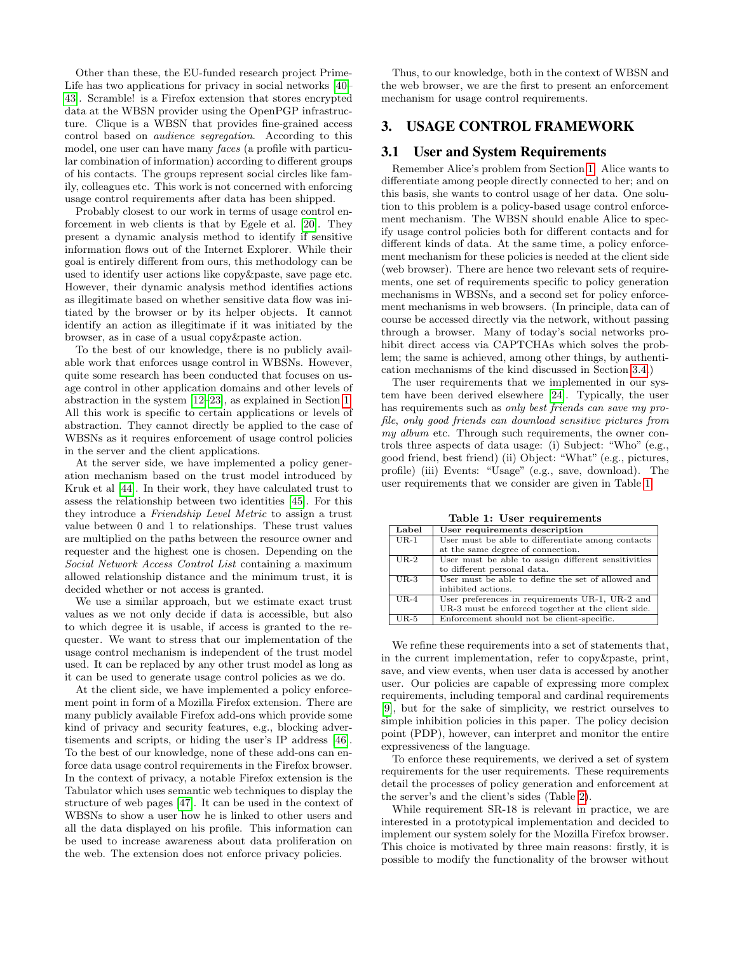Other than these, the EU-funded research project Prime-Life has two applications for privacy in social networks [\[40–](#page-11-7) [43\]](#page-11-8). Scramble! is a Firefox extension that stores encrypted data at the WBSN provider using the OpenPGP infrastructure. Clique is a WBSN that provides fine-grained access control based on audience segregation. According to this model, one user can have many faces (a profile with particular combination of information) according to different groups of his contacts. The groups represent social circles like family, colleagues etc. This work is not concerned with enforcing usage control requirements after data has been shipped.

Probably closest to our work in terms of usage control enforcement in web clients is that by Egele et al. [\[20\]](#page-10-13). They present a dynamic analysis method to identify if sensitive information flows out of the Internet Explorer. While their goal is entirely different from ours, this methodology can be used to identify user actions like copy&paste, save page etc. However, their dynamic analysis method identifies actions as illegitimate based on whether sensitive data flow was initiated by the browser or by its helper objects. It cannot identify an action as illegitimate if it was initiated by the browser, as in case of a usual copy&paste action.

To the best of our knowledge, there is no publicly available work that enforces usage control in WBSNs. However, quite some research has been conducted that focuses on usage control in other application domains and other levels of abstraction in the system [\[12–](#page-10-5)[23\]](#page-10-15), as explained in Section [1.](#page-0-0) All this work is specific to certain applications or levels of abstraction. They cannot directly be applied to the case of WBSNs as it requires enforcement of usage control policies in the server and the client applications.

At the server side, we have implemented a policy generation mechanism based on the trust model introduced by Kruk et al [\[44\]](#page-11-9). In their work, they have calculated trust to assess the relationship between two identities [\[45\]](#page-11-10). For this they introduce a Friendship Level Metric to assign a trust value between 0 and 1 to relationships. These trust values are multiplied on the paths between the resource owner and requester and the highest one is chosen. Depending on the Social Network Access Control List containing a maximum allowed relationship distance and the minimum trust, it is decided whether or not access is granted.

We use a similar approach, but we estimate exact trust values as we not only decide if data is accessible, but also to which degree it is usable, if access is granted to the requester. We want to stress that our implementation of the usage control mechanism is independent of the trust model used. It can be replaced by any other trust model as long as it can be used to generate usage control policies as we do.

At the client side, we have implemented a policy enforcement point in form of a Mozilla Firefox extension. There are many publicly available Firefox add-ons which provide some kind of privacy and security features, e.g., blocking advertisements and scripts, or hiding the user's IP address [\[46\]](#page-11-11). To the best of our knowledge, none of these add-ons can enforce data usage control requirements in the Firefox browser. In the context of privacy, a notable Firefox extension is the Tabulator which uses semantic web techniques to display the structure of web pages [\[47\]](#page-11-12). It can be used in the context of WBSNs to show a user how he is linked to other users and all the data displayed on his profile. This information can be used to increase awareness about data proliferation on the web. The extension does not enforce privacy policies.

Thus, to our knowledge, both in the context of WBSN and the web browser, we are the first to present an enforcement mechanism for usage control requirements.

# <span id="page-2-0"></span>3. USAGE CONTROL FRAMEWORK

## 3.1 User and System Requirements

Remember Alice's problem from Section [1.](#page-0-0) Alice wants to differentiate among people directly connected to her; and on this basis, she wants to control usage of her data. One solution to this problem is a policy-based usage control enforcement mechanism. The WBSN should enable Alice to specify usage control policies both for different contacts and for different kinds of data. At the same time, a policy enforcement mechanism for these policies is needed at the client side (web browser). There are hence two relevant sets of requirements, one set of requirements specific to policy generation mechanisms in WBSNs, and a second set for policy enforcement mechanisms in web browsers. (In principle, data can of course be accessed directly via the network, without passing through a browser. Many of today's social networks prohibit direct access via CAPTCHAs which solves the problem; the same is achieved, among other things, by authentication mechanisms of the kind discussed in Section [3.4.](#page-5-0))

The user requirements that we implemented in our system have been derived elsewhere [\[24\]](#page-10-16). Typically, the user has requirements such as only best friends can save my profile, only good friends can download sensitive pictures from my album etc. Through such requirements, the owner controls three aspects of data usage: (i) Subject: "Who" (e.g., good friend, best friend) (ii) Object: "What" (e.g., pictures, profile) (iii) Events: "Usage" (e.g., save, download). The user requirements that we consider are given in Table [1.](#page-2-1)

<span id="page-2-1"></span>Table 1: User requirements

| Label            | User requirements description                       |
|------------------|-----------------------------------------------------|
| $UR-1$           | User must be able to differentiate among contacts   |
|                  | at the same degree of connection.                   |
| $UR-2$           | User must be able to assign different sensitivities |
|                  | to different personal data.                         |
| $_{\text{U}R-3}$ | User must be able to define the set of allowed and  |
|                  | inhibited actions.                                  |
| $U_{R-4}$        | User preferences in requirements UR-1, UR-2 and     |
|                  | UR-3 must be enforced together at the client side.  |
| $_{\rm{UR-5}}$   | Enforcement should not be client-specific.          |

We refine these requirements into a set of statements that, in the current implementation, refer to copy&paste, print, save, and view events, when user data is accessed by another user. Our policies are capable of expressing more complex requirements, including temporal and cardinal requirements [\[9\]](#page-10-23), but for the sake of simplicity, we restrict ourselves to simple inhibition policies in this paper. The policy decision point (PDP), however, can interpret and monitor the entire expressiveness of the language.

To enforce these requirements, we derived a set of system requirements for the user requirements. These requirements detail the processes of policy generation and enforcement at the server's and the client's sides (Table [2\)](#page-3-1).

While requirement SR-18 is relevant in practice, we are interested in a prototypical implementation and decided to implement our system solely for the Mozilla Firefox browser. This choice is motivated by three main reasons: firstly, it is possible to modify the functionality of the browser without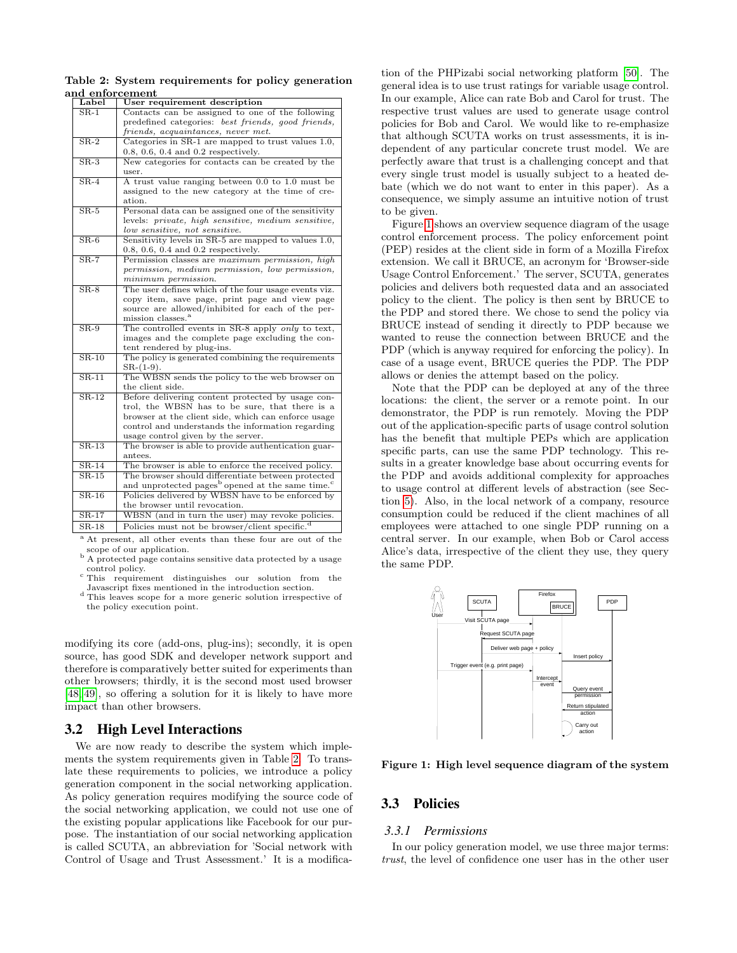<span id="page-3-1"></span>Table 2: System requirements for policy generation and enforcement

| Label                     | User requirement description                                             |  |  |  |
|---------------------------|--------------------------------------------------------------------------|--|--|--|
| $SR-1$                    | Contacts can be assigned to one of the following                         |  |  |  |
|                           | predefined categories: best friends, good friends,                       |  |  |  |
|                           | friends, acquaintances, never met.                                       |  |  |  |
| $SR-2$                    | Categories in SR-1 are mapped to trust values 1.0,                       |  |  |  |
|                           | $0.8, 0.6, 0.4$ and $0.2$ respectively.                                  |  |  |  |
| $SR-3$                    | New categories for contacts can be created by the                        |  |  |  |
|                           | user.                                                                    |  |  |  |
| $\overline{\text{SR-4}}$  | A trust value ranging between 0.0 to 1.0 must be                         |  |  |  |
|                           | assigned to the new category at the time of cre-                         |  |  |  |
|                           | ation.                                                                   |  |  |  |
| $\overline{\text{SR-5}}$  | Personal data can be assigned one of the sensitivity                     |  |  |  |
|                           | levels: private, high sensitive, medium sensitive,                       |  |  |  |
|                           | low sensitive, not sensitive.                                            |  |  |  |
| $SR-6$                    | Sensitivity levels in SR-5 are mapped to values 1.0,                     |  |  |  |
|                           | $0.8, 0.6, 0.4$ and $0.2$ respectively.                                  |  |  |  |
| $SR-7$                    | Permission classes are maximum permission, high                          |  |  |  |
|                           | permission, medium permission, low permission,                           |  |  |  |
|                           | minimum permission.                                                      |  |  |  |
| $S\overline{R-8}$         | The user defines which of the four usage events viz.                     |  |  |  |
|                           | copy item, save page, print page and view page                           |  |  |  |
|                           | source are allowed/inhibited for each of the per-                        |  |  |  |
|                           | mission classes. <sup>a</sup>                                            |  |  |  |
| $SR-9$                    | The controlled events in SR-8 apply only to text,                        |  |  |  |
|                           | images and the complete page excluding the con-                          |  |  |  |
|                           | tent rendered by plug-ins.                                               |  |  |  |
| $SR-10$                   | The policy is generated combining the requirements                       |  |  |  |
|                           | $SR-(1-9)$ .                                                             |  |  |  |
| $SR-11$                   | The WBSN sends the policy to the web browser on                          |  |  |  |
|                           | the client side.                                                         |  |  |  |
| $SR-12$                   | Before delivering content protected by usage con-                        |  |  |  |
|                           | trol, the WBSN has to be sure, that there is a                           |  |  |  |
|                           | browser at the client side, which can enforce usage                      |  |  |  |
|                           | control and understands the information regarding                        |  |  |  |
|                           | usage control given by the server.                                       |  |  |  |
| $\overline{\text{SR-}13}$ | The browser is able to provide authentication guar-                      |  |  |  |
|                           | antees.                                                                  |  |  |  |
| $SR-14$                   | The browser is able to enforce the received policy.                      |  |  |  |
| $SR-15$                   | The browser should differentiate between protected                       |  |  |  |
|                           | and unprotected pages <sup>b</sup> opened at the same time. <sup>c</sup> |  |  |  |
| $SR-16$                   | Policies delivered by WBSN have to be enforced by                        |  |  |  |
|                           | the browser until revocation.                                            |  |  |  |
| $SR-17$                   | WBSN (and in turn the user) may revoke policies.                         |  |  |  |
| $SR-18$                   | Policies must not be browser/client specific. <sup>d</sup>               |  |  |  |

<sup>a</sup> At present, all other events than these four are out of the scope of our application.

b A protected page contains sensitive data protected by a usage control policy.

 $\degree$  This requirement distinguishes our solution from the Javascript fixes mentioned in the introduction section.

<sup>d</sup> This leaves scope for a more generic solution irrespective of the policy execution point.

modifying its core (add-ons, plug-ins); secondly, it is open source, has good SDK and developer network support and therefore is comparatively better suited for experiments than other browsers; thirdly, it is the second most used browser [\[48,](#page-11-13) [49\]](#page-11-14), so offering a solution for it is likely to have more impact than other browsers.

## 3.2 High Level Interactions

We are now ready to describe the system which implements the system requirements given in Table [2.](#page-3-1) To translate these requirements to policies, we introduce a policy generation component in the social networking application. As policy generation requires modifying the source code of the social networking application, we could not use one of the existing popular applications like Facebook for our purpose. The instantiation of our social networking application is called SCUTA, an abbreviation for 'Social network with Control of Usage and Trust Assessment.' It is a modification of the PHPizabi social networking platform [\[50\]](#page-11-15). The general idea is to use trust ratings for variable usage control. In our example, Alice can rate Bob and Carol for trust. The respective trust values are used to generate usage control policies for Bob and Carol. We would like to re-emphasize that although SCUTA works on trust assessments, it is independent of any particular concrete trust model. We are perfectly aware that trust is a challenging concept and that every single trust model is usually subject to a heated debate (which we do not want to enter in this paper). As a consequence, we simply assume an intuitive notion of trust to be given.

Figure [1](#page-3-2) shows an overview sequence diagram of the usage control enforcement process. The policy enforcement point (PEP) resides at the client side in form of a Mozilla Firefox extension. We call it BRUCE, an acronym for 'Browser-side Usage Control Enforcement.' The server, SCUTA, generates policies and delivers both requested data and an associated policy to the client. The policy is then sent by BRUCE to the PDP and stored there. We chose to send the policy via BRUCE instead of sending it directly to PDP because we wanted to reuse the connection between BRUCE and the PDP (which is anyway required for enforcing the policy). In case of a usage event, BRUCE queries the PDP. The PDP allows or denies the attempt based on the policy.

Note that the PDP can be deployed at any of the three locations: the client, the server or a remote point. In our demonstrator, the PDP is run remotely. Moving the PDP out of the application-specific parts of usage control solution has the benefit that multiple PEPs which are application specific parts, can use the same PDP technology. This results in a greater knowledge base about occurring events for the PDP and avoids additional complexity for approaches to usage control at different levels of abstraction (see Section [5\)](#page-9-0). Also, in the local network of a company, resource consumption could be reduced if the client machines of all employees were attached to one single PDP running on a central server. In our example, when Bob or Carol access Alice's data, irrespective of the client they use, they query the same PDP.



<span id="page-3-2"></span>Figure 1: High level sequence diagram of the system

## 3.3 Policies

#### <span id="page-3-0"></span>*3.3.1 Permissions*

In our policy generation model, we use three major terms: trust, the level of confidence one user has in the other user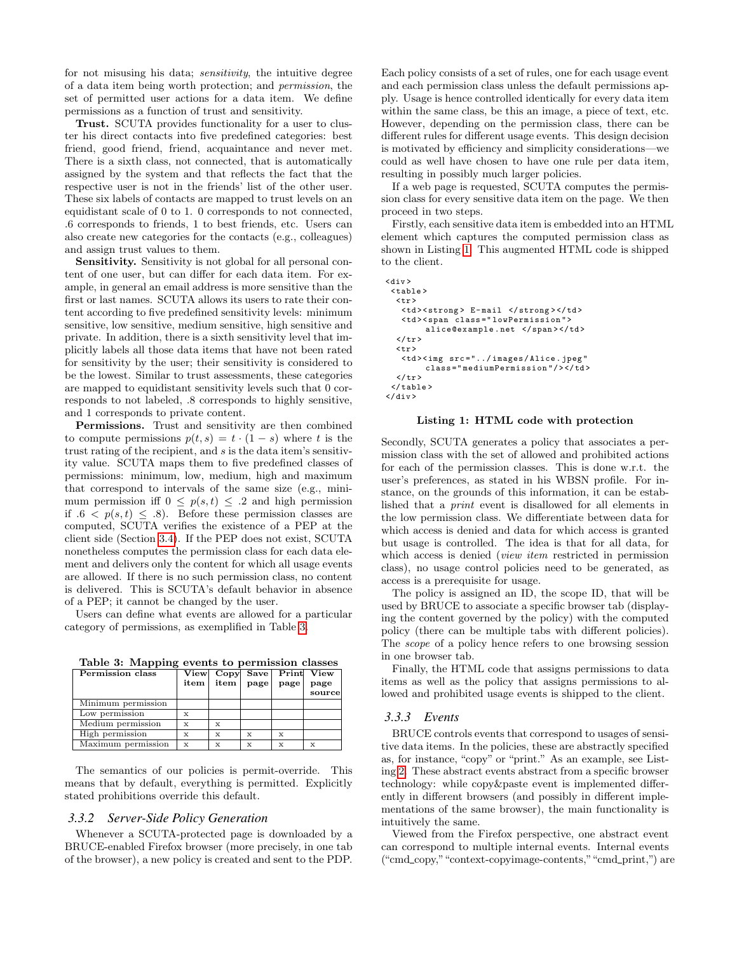for not misusing his data; *sensitivity*, the intuitive degree of a data item being worth protection; and permission, the set of permitted user actions for a data item. We define permissions as a function of trust and sensitivity.

Trust. SCUTA provides functionality for a user to cluster his direct contacts into five predefined categories: best friend, good friend, friend, acquaintance and never met. There is a sixth class, not connected, that is automatically assigned by the system and that reflects the fact that the respective user is not in the friends' list of the other user. These six labels of contacts are mapped to trust levels on an equidistant scale of 0 to 1. 0 corresponds to not connected, .6 corresponds to friends, 1 to best friends, etc. Users can also create new categories for the contacts (e.g., colleagues) and assign trust values to them.

Sensitivity. Sensitivity is not global for all personal content of one user, but can differ for each data item. For example, in general an email address is more sensitive than the first or last names. SCUTA allows its users to rate their content according to five predefined sensitivity levels: minimum sensitive, low sensitive, medium sensitive, high sensitive and private. In addition, there is a sixth sensitivity level that implicitly labels all those data items that have not been rated for sensitivity by the user; their sensitivity is considered to be the lowest. Similar to trust assessments, these categories are mapped to equidistant sensitivity levels such that 0 corresponds to not labeled, .8 corresponds to highly sensitive, and 1 corresponds to private content.

Permissions. Trust and sensitivity are then combined to compute permissions  $p(t, s) = t \cdot (1 - s)$  where t is the trust rating of the recipient, and s is the data item's sensitivity value. SCUTA maps them to five predefined classes of permissions: minimum, low, medium, high and maximum that correspond to intervals of the same size (e.g., minimum permission iff  $0 \leq p(s,t) \leq .2$  and high permission if  $.6 < p(s,t) \leq .8$ . Before these permission classes are computed, SCUTA verifies the existence of a PEP at the client side (Section [3.4\)](#page-5-0). If the PEP does not exist, SCUTA nonetheless computes the permission class for each data element and delivers only the content for which all usage events are allowed. If there is no such permission class, no content is delivered. This is SCUTA's default behavior in absence of a PEP; it cannot be changed by the user.

Users can define what events are allowed for a particular category of permissions, as exemplified in Table [3.](#page-4-0)

<span id="page-4-0"></span>Table 3: Mapping events to permission classes

| Permission class   |             | View Copy Save Print View |      |             |        |
|--------------------|-------------|---------------------------|------|-------------|--------|
|                    | item        | item                      | page | page        | page   |
|                    |             |                           |      |             | source |
| Minimum permission |             |                           |      |             |        |
| Low permission     | x           |                           |      |             |        |
| Medium permission  | $\mathbf x$ | x                         |      |             |        |
| High permission    | x           | x                         | x    | x           |        |
| Maximum permission | x           | x                         | x    | $\mathbf x$ | x      |

The semantics of our policies is permit-override. This means that by default, everything is permitted. Explicitly stated prohibitions override this default.

#### *3.3.2 Server-Side Policy Generation*

Whenever a SCUTA-protected page is downloaded by a BRUCE-enabled Firefox browser (more precisely, in one tab of the browser), a new policy is created and sent to the PDP.

Each policy consists of a set of rules, one for each usage event and each permission class unless the default permissions apply. Usage is hence controlled identically for every data item within the same class, be this an image, a piece of text, etc. However, depending on the permission class, there can be different rules for different usage events. This design decision is motivated by efficiency and simplicity considerations—we could as well have chosen to have one rule per data item, resulting in possibly much larger policies.

If a web page is requested, SCUTA computes the permission class for every sensitive data item on the page. We then proceed in two steps.

Firstly, each sensitive data item is embedded into an HTML element which captures the computed permission class as shown in Listing [1.](#page-4-1) This augmented HTML code is shipped to the client.

<span id="page-4-1"></span>

| $<$ $\theta$ i $\theta$                             |                                            |
|-----------------------------------------------------|--------------------------------------------|
| $table$                                             |                                            |
| $<$ tr $>$                                          |                                            |
| <td><strong> E-mail </strong></td>                  | <strong> E-mail </strong>                  |
| <td><span class="lowPermission"></span></td>        | <span class="lowPermission"></span>        |
| alice@example.net                                   |                                            |
| $\langle$ /tr>                                      |                                            |
| $tr$                                                |                                            |
| <td><img <="" src="/images/Alice.jpeg" td=""/></td> | <img <="" src="/images/Alice.jpeg" td=""/> |
| class="mediumPermission"/>                          |                                            |
| $\langle$ /tr>                                      |                                            |
| $\langle$ /table>                                   |                                            |
| $\langle$ /div>                                     |                                            |

#### Listing 1: HTML code with protection

Secondly, SCUTA generates a policy that associates a permission class with the set of allowed and prohibited actions for each of the permission classes. This is done w.r.t. the user's preferences, as stated in his WBSN profile. For instance, on the grounds of this information, it can be established that a print event is disallowed for all elements in the low permission class. We differentiate between data for which access is denied and data for which access is granted but usage is controlled. The idea is that for all data, for which access is denied (*view item* restricted in permission class), no usage control policies need to be generated, as access is a prerequisite for usage.

The policy is assigned an ID, the scope ID, that will be used by BRUCE to associate a specific browser tab (displaying the content governed by the policy) with the computed policy (there can be multiple tabs with different policies). The scope of a policy hence refers to one browsing session in one browser tab.

Finally, the HTML code that assigns permissions to data items as well as the policy that assigns permissions to allowed and prohibited usage events is shipped to the client.

#### <span id="page-4-2"></span>*3.3.3 Events*

BRUCE controls events that correspond to usages of sensitive data items. In the policies, these are abstractly specified as, for instance, "copy" or "print." As an example, see Listing [2.](#page-5-1) These abstract events abstract from a specific browser technology: while copy&paste event is implemented differently in different browsers (and possibly in different implementations of the same browser), the main functionality is intuitively the same.

Viewed from the Firefox perspective, one abstract event can correspond to multiple internal events. Internal events ("cmd copy,""context-copyimage-contents,""cmd print,") are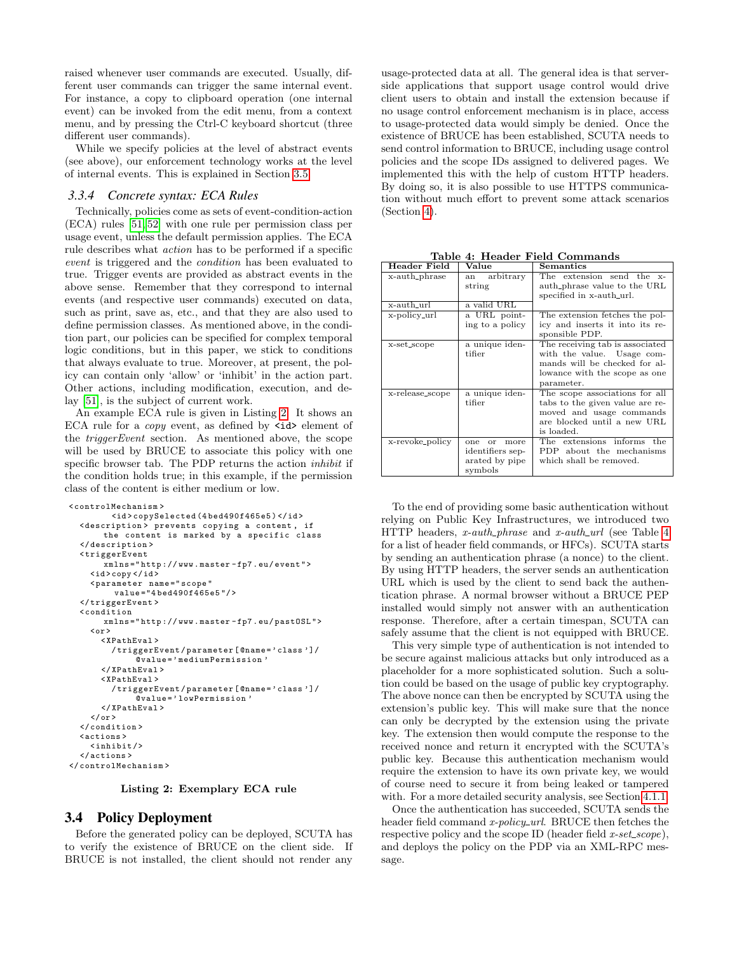raised whenever user commands are executed. Usually, different user commands can trigger the same internal event. For instance, a copy to clipboard operation (one internal event) can be invoked from the edit menu, from a context menu, and by pressing the Ctrl-C keyboard shortcut (three different user commands).

While we specify policies at the level of abstract events (see above), our enforcement technology works at the level of internal events. This is explained in Section [3.5.](#page-6-1)

#### *3.3.4 Concrete syntax: ECA Rules*

Technically, policies come as sets of event-condition-action (ECA) rules [\[51,](#page-11-16) [52\]](#page-11-17) with one rule per permission class per usage event, unless the default permission applies. The ECA rule describes what action has to be performed if a specific event is triggered and the condition has been evaluated to true. Trigger events are provided as abstract events in the above sense. Remember that they correspond to internal events (and respective user commands) executed on data, such as print, save as, etc., and that they are also used to define permission classes. As mentioned above, in the condition part, our policies can be specified for complex temporal logic conditions, but in this paper, we stick to conditions that always evaluate to true. Moreover, at present, the policy can contain only 'allow' or 'inhibit' in the action part. Other actions, including modification, execution, and delay [\[51\]](#page-11-16), is the subject of current work.

An example ECA rule is given in Listing [2.](#page-5-1) It shows an ECA rule for a *copy* event, as defined by  $\langle id \rangle$  element of the triggerEvent section. As mentioned above, the scope will be used by BRUCE to associate this policy with one specific browser tab. The PDP returns the action inhibit if the condition holds true; in this example, if the permission class of the content is either medium or low.

```
< controlMechanism >
         <id > copySelected (4 bed490f465e5 ) </id >
  < description > prevents copying a content , if
       the content is marked by a specific class
  </ description >
  < triggerEvent
       xmlns =" http :// www . master - fp7 . eu / event ">
     <id > copy </ id >
     < parameter name =" scope "
          value ="4 bed490f465e5 "/ >
  </ triggerEvent >
  < condition
       xmlns =" http :// www . master - fp7 . eu / pastOSL ">
     \langle or \rangle< XPathEval >
         / triggerEvent / parameter [ @name =' class ']/
               @value =' mediumPermission '
       </ XPathEval >
       < XPathEval >
         / triggerEvent / parameter [ @name =' class ']/
               @value =' lowPermission '
       </ XPathEval >
     \langle/or >
  </ condition >
  < actions >
     < inhibit />
  </ actions >
</ controlMechanism >
```
Listing 2: Exemplary ECA rule

## <span id="page-5-0"></span>3.4 Policy Deployment

Before the generated policy can be deployed, SCUTA has to verify the existence of BRUCE on the client side. If BRUCE is not installed, the client should not render any

usage-protected data at all. The general idea is that serverside applications that support usage control would drive client users to obtain and install the extension because if no usage control enforcement mechanism is in place, access to usage-protected data would simply be denied. Once the existence of BRUCE has been established, SCUTA needs to send control information to BRUCE, including usage control policies and the scope IDs assigned to delivered pages. We implemented this with the help of custom HTTP headers. By doing so, it is also possible to use HTTPS communication without much effort to prevent some attack scenarios (Section [4\)](#page-6-0).

<span id="page-5-2"></span>Table 4: Header Field Commands

| Header Field    | Value                     | Semantics                        |  |  |  |
|-----------------|---------------------------|----------------------------------|--|--|--|
| x-auth_phrase   | arbitrary<br>an           | The extension send the x-        |  |  |  |
|                 | string                    | auth_phrase value to the URL     |  |  |  |
|                 |                           | specified in x-auth_url.         |  |  |  |
| x-auth_url      | a valid URL               |                                  |  |  |  |
| x-policy_url    | a URL point-              | The extension fetches the pol-   |  |  |  |
|                 | ing to a policy           | icy and inserts it into its re-  |  |  |  |
|                 |                           | sponsible PDP.                   |  |  |  |
| x-set_scope     | a unique iden-            | The receiving tab is associated  |  |  |  |
|                 | tifier                    | with the value. Usage com-       |  |  |  |
|                 |                           | mands will be checked for al-    |  |  |  |
|                 |                           | lowance with the scope as one    |  |  |  |
|                 |                           | parameter.                       |  |  |  |
| x-release_scope | a unique iden-            | The scope associations for all   |  |  |  |
|                 | tifier                    | tabs to the given value are re-  |  |  |  |
|                 |                           | moved and usage commands         |  |  |  |
|                 |                           | are blocked until a new URL      |  |  |  |
|                 |                           | is loaded.                       |  |  |  |
| x-revoke_policy | one<br>$\alpha$ r<br>more | extensions informs<br>The<br>the |  |  |  |
|                 | identifiers sep-          | PDP about the mechanisms         |  |  |  |
|                 | arated by pipe            | which shall be removed.          |  |  |  |
|                 | symbols                   |                                  |  |  |  |

To the end of providing some basic authentication without relying on Public Key Infrastructures, we introduced two HTTP headers, x-auth phrase and x-auth url (see Table [4](#page-5-2) for a list of header field commands, or HFCs). SCUTA starts by sending an authentication phrase (a nonce) to the client. By using HTTP headers, the server sends an authentication URL which is used by the client to send back the authentication phrase. A normal browser without a BRUCE PEP installed would simply not answer with an authentication response. Therefore, after a certain timespan, SCUTA can safely assume that the client is not equipped with BRUCE.

This very simple type of authentication is not intended to be secure against malicious attacks but only introduced as a placeholder for a more sophisticated solution. Such a solution could be based on the usage of public key cryptography. The above nonce can then be encrypted by SCUTA using the extension's public key. This will make sure that the nonce can only be decrypted by the extension using the private key. The extension then would compute the response to the received nonce and return it encrypted with the SCUTA's public key. Because this authentication mechanism would require the extension to have its own private key, we would of course need to secure it from being leaked or tampered with. For a more detailed security analysis, see Section [4.1.1.](#page-7-0)

Once the authentication has succeeded, SCUTA sends the header field command x-policy\_url. BRUCE then fetches the respective policy and the scope ID (header field  $x\text{-}set\_scope$ ), and deploys the policy on the PDP via an XML-RPC message.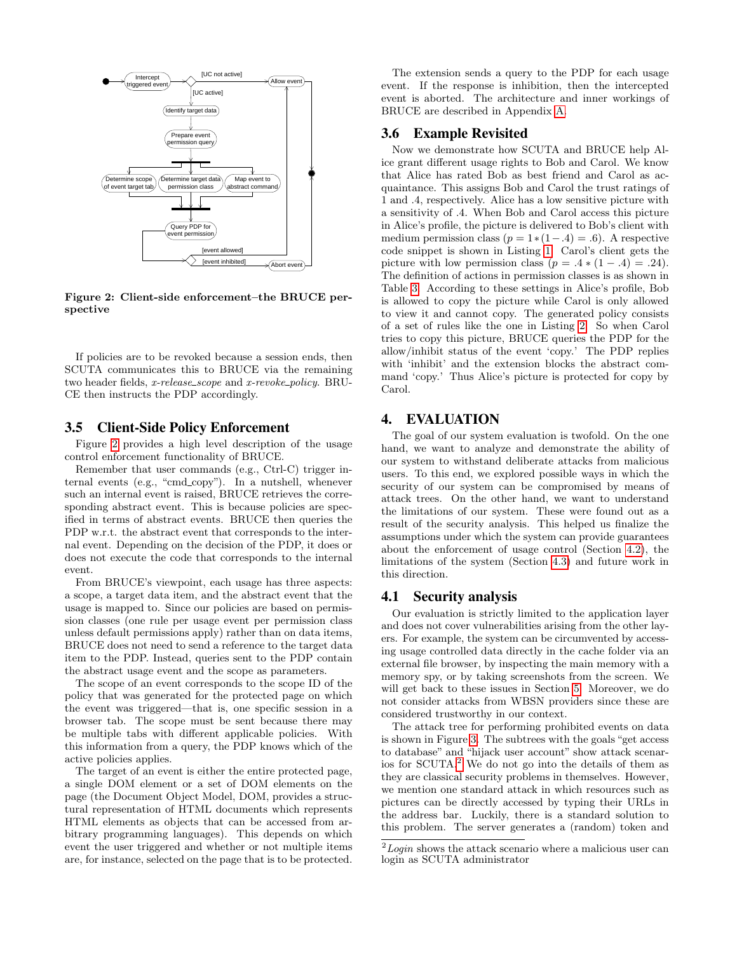

<span id="page-6-2"></span>Figure 2: Client-side enforcement–the BRUCE perspective

If policies are to be revoked because a session ends, then SCUTA communicates this to BRUCE via the remaining two header fields, x-release\_scope and x-revoke\_policy. BRU-CE then instructs the PDP accordingly.

#### <span id="page-6-1"></span>3.5 Client-Side Policy Enforcement

Figure [2](#page-6-2) provides a high level description of the usage control enforcement functionality of BRUCE.

Remember that user commands (e.g., Ctrl-C) trigger internal events (e.g., "cmd copy"). In a nutshell, whenever such an internal event is raised, BRUCE retrieves the corresponding abstract event. This is because policies are specified in terms of abstract events. BRUCE then queries the PDP w.r.t. the abstract event that corresponds to the internal event. Depending on the decision of the PDP, it does or does not execute the code that corresponds to the internal event.

From BRUCE's viewpoint, each usage has three aspects: a scope, a target data item, and the abstract event that the usage is mapped to. Since our policies are based on permission classes (one rule per usage event per permission class unless default permissions apply) rather than on data items, BRUCE does not need to send a reference to the target data item to the PDP. Instead, queries sent to the PDP contain the abstract usage event and the scope as parameters.

The scope of an event corresponds to the scope ID of the policy that was generated for the protected page on which the event was triggered—that is, one specific session in a browser tab. The scope must be sent because there may be multiple tabs with different applicable policies. With this information from a query, the PDP knows which of the active policies applies.

The target of an event is either the entire protected page, a single DOM element or a set of DOM elements on the page (the Document Object Model, DOM, provides a structural representation of HTML documents which represents HTML elements as objects that can be accessed from arbitrary programming languages). This depends on which event the user triggered and whether or not multiple items are, for instance, selected on the page that is to be protected.

The extension sends a query to the PDP for each usage event. If the response is inhibition, then the intercepted event is aborted. The architecture and inner workings of BRUCE are described in Appendix [A.](#page-11-0)

### 3.6 Example Revisited

Now we demonstrate how SCUTA and BRUCE help Alice grant different usage rights to Bob and Carol. We know that Alice has rated Bob as best friend and Carol as acquaintance. This assigns Bob and Carol the trust ratings of 1 and .4, respectively. Alice has a low sensitive picture with a sensitivity of .4. When Bob and Carol access this picture in Alice's profile, the picture is delivered to Bob's client with medium permission class ( $p = 1*(1-.4) = .6$ ). A respective code snippet is shown in Listing [1.](#page-4-1) Carol's client gets the picture with low permission class  $(p = .4 * (1 - .4) = .24)$ . The definition of actions in permission classes is as shown in Table [3.](#page-4-0) According to these settings in Alice's profile, Bob is allowed to copy the picture while Carol is only allowed to view it and cannot copy. The generated policy consists of a set of rules like the one in Listing [2.](#page-5-1) So when Carol tries to copy this picture, BRUCE queries the PDP for the allow/inhibit status of the event 'copy.' The PDP replies with 'inhibit' and the extension blocks the abstract command 'copy.' Thus Alice's picture is protected for copy by Carol.

## <span id="page-6-0"></span>4. EVALUATION

The goal of our system evaluation is twofold. On the one hand, we want to analyze and demonstrate the ability of our system to withstand deliberate attacks from malicious users. To this end, we explored possible ways in which the security of our system can be compromised by means of attack trees. On the other hand, we want to understand the limitations of our system. These were found out as a result of the security analysis. This helped us finalize the assumptions under which the system can provide guarantees about the enforcement of usage control (Section [4.2\)](#page-8-0), the limitations of the system (Section [4.3\)](#page-9-1) and future work in this direction.

## 4.1 Security analysis

Our evaluation is strictly limited to the application layer and does not cover vulnerabilities arising from the other layers. For example, the system can be circumvented by accessing usage controlled data directly in the cache folder via an external file browser, by inspecting the main memory with a memory spy, or by taking screenshots from the screen. We will get back to these issues in Section [5.](#page-9-0) Moreover, we do not consider attacks from WBSN providers since these are considered trustworthy in our context.

The attack tree for performing prohibited events on data is shown in Figure [3.](#page-7-1) The subtrees with the goals "get access to database" and "hijack user account" show attack scenarios for SCUTA.[2](#page-6-3) We do not go into the details of them as they are classical security problems in themselves. However, we mention one standard attack in which resources such as pictures can be directly accessed by typing their URLs in the address bar. Luckily, there is a standard solution to this problem. The server generates a (random) token and

<span id="page-6-3"></span> $2$  Login shows the attack scenario where a malicious user can login as SCUTA administrator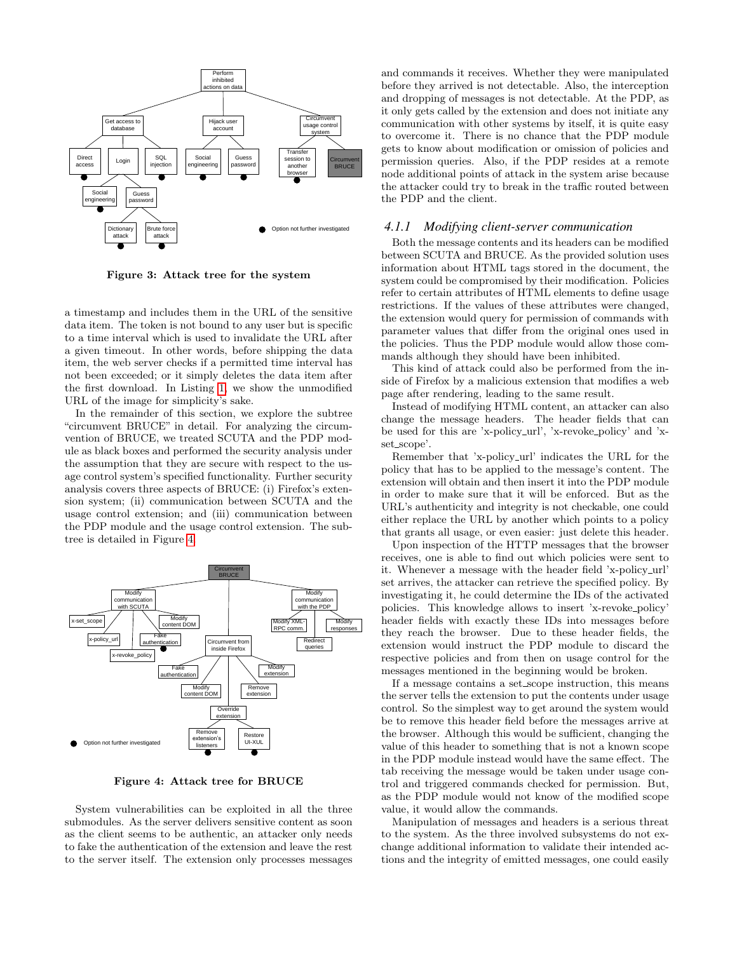

<span id="page-7-1"></span>Figure 3: Attack tree for the system

a timestamp and includes them in the URL of the sensitive data item. The token is not bound to any user but is specific to a time interval which is used to invalidate the URL after a given timeout. In other words, before shipping the data item, the web server checks if a permitted time interval has not been exceeded; or it simply deletes the data item after the first download. In Listing [1,](#page-4-1) we show the unmodified URL of the image for simplicity's sake.

In the remainder of this section, we explore the subtree "circumvent BRUCE" in detail. For analyzing the circumvention of BRUCE, we treated SCUTA and the PDP module as black boxes and performed the security analysis under the assumption that they are secure with respect to the usage control system's specified functionality. Further security analysis covers three aspects of BRUCE: (i) Firefox's extension system; (ii) communication between SCUTA and the usage control extension; and (iii) communication between the PDP module and the usage control extension. The subtree is detailed in Figure [4.](#page-7-2)



<span id="page-7-2"></span>Figure 4: Attack tree for BRUCE

System vulnerabilities can be exploited in all the three submodules. As the server delivers sensitive content as soon as the client seems to be authentic, an attacker only needs to fake the authentication of the extension and leave the rest to the server itself. The extension only processes messages and commands it receives. Whether they were manipulated before they arrived is not detectable. Also, the interception and dropping of messages is not detectable. At the PDP, as it only gets called by the extension and does not initiate any communication with other systems by itself, it is quite easy to overcome it. There is no chance that the PDP module gets to know about modification or omission of policies and permission queries. Also, if the PDP resides at a remote node additional points of attack in the system arise because the attacker could try to break in the traffic routed between the PDP and the client.

#### <span id="page-7-0"></span>*4.1.1 Modifying client-server communication*

Both the message contents and its headers can be modified between SCUTA and BRUCE. As the provided solution uses information about HTML tags stored in the document, the system could be compromised by their modification. Policies refer to certain attributes of HTML elements to define usage restrictions. If the values of these attributes were changed, the extension would query for permission of commands with parameter values that differ from the original ones used in the policies. Thus the PDP module would allow those commands although they should have been inhibited.

This kind of attack could also be performed from the inside of Firefox by a malicious extension that modifies a web page after rendering, leading to the same result.

Instead of modifying HTML content, an attacker can also change the message headers. The header fields that can be used for this are 'x-policy\_url', 'x-revoke\_policy' and 'xset\_scope'.

Remember that 'x-policy url' indicates the URL for the policy that has to be applied to the message's content. The extension will obtain and then insert it into the PDP module in order to make sure that it will be enforced. But as the URL's authenticity and integrity is not checkable, one could either replace the URL by another which points to a policy that grants all usage, or even easier: just delete this header.

Upon inspection of the HTTP messages that the browser receives, one is able to find out which policies were sent to it. Whenever a message with the header field 'x-policy url' set arrives, the attacker can retrieve the specified policy. By investigating it, he could determine the IDs of the activated policies. This knowledge allows to insert 'x-revoke policy' header fields with exactly these IDs into messages before they reach the browser. Due to these header fields, the extension would instruct the PDP module to discard the respective policies and from then on usage control for the messages mentioned in the beginning would be broken.

If a message contains a set scope instruction, this means the server tells the extension to put the contents under usage control. So the simplest way to get around the system would be to remove this header field before the messages arrive at the browser. Although this would be sufficient, changing the value of this header to something that is not a known scope in the PDP module instead would have the same effect. The tab receiving the message would be taken under usage control and triggered commands checked for permission. But, as the PDP module would not know of the modified scope value, it would allow the commands.

Manipulation of messages and headers is a serious threat to the system. As the three involved subsystems do not exchange additional information to validate their intended actions and the integrity of emitted messages, one could easily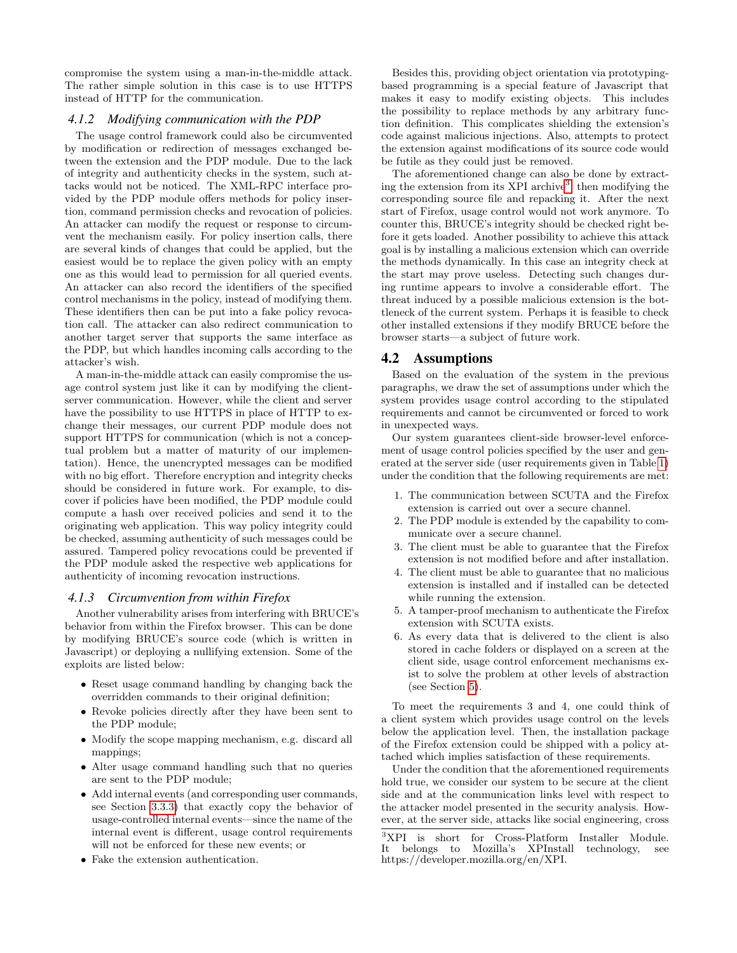compromise the system using a man-in-the-middle attack. The rather simple solution in this case is to use HTTPS instead of HTTP for the communication.

#### *4.1.2 Modifying communication with the PDP*

The usage control framework could also be circumvented by modification or redirection of messages exchanged between the extension and the PDP module. Due to the lack of integrity and authenticity checks in the system, such attacks would not be noticed. The XML-RPC interface provided by the PDP module offers methods for policy insertion, command permission checks and revocation of policies. An attacker can modify the request or response to circumvent the mechanism easily. For policy insertion calls, there are several kinds of changes that could be applied, but the easiest would be to replace the given policy with an empty one as this would lead to permission for all queried events. An attacker can also record the identifiers of the specified control mechanisms in the policy, instead of modifying them. These identifiers then can be put into a fake policy revocation call. The attacker can also redirect communication to another target server that supports the same interface as the PDP, but which handles incoming calls according to the attacker's wish.

A man-in-the-middle attack can easily compromise the usage control system just like it can by modifying the clientserver communication. However, while the client and server have the possibility to use HTTPS in place of HTTP to exchange their messages, our current PDP module does not support HTTPS for communication (which is not a conceptual problem but a matter of maturity of our implementation). Hence, the unencrypted messages can be modified with no big effort. Therefore encryption and integrity checks should be considered in future work. For example, to discover if policies have been modified, the PDP module could compute a hash over received policies and send it to the originating web application. This way policy integrity could be checked, assuming authenticity of such messages could be assured. Tampered policy revocations could be prevented if the PDP module asked the respective web applications for authenticity of incoming revocation instructions.

#### *4.1.3 Circumvention from within Firefox*

Another vulnerability arises from interfering with BRUCE's behavior from within the Firefox browser. This can be done by modifying BRUCE's source code (which is written in Javascript) or deploying a nullifying extension. Some of the exploits are listed below:

- Reset usage command handling by changing back the overridden commands to their original definition;
- Revoke policies directly after they have been sent to the PDP module;
- Modify the scope mapping mechanism, e.g. discard all mappings;
- Alter usage command handling such that no queries are sent to the PDP module;
- Add internal events (and corresponding user commands, see Section [3.3.3\)](#page-4-2) that exactly copy the behavior of usage-controlled internal events—since the name of the internal event is different, usage control requirements will not be enforced for these new events; or
- Fake the extension authentication.

Besides this, providing object orientation via prototypingbased programming is a special feature of Javascript that makes it easy to modify existing objects. This includes the possibility to replace methods by any arbitrary function definition. This complicates shielding the extension's code against malicious injections. Also, attempts to protect the extension against modifications of its source code would be futile as they could just be removed.

The aforementioned change can also be done by extract-ing the extension from its XPI archive<sup>[3](#page-8-1)</sup>, then modifying the corresponding source file and repacking it. After the next start of Firefox, usage control would not work anymore. To counter this, BRUCE's integrity should be checked right before it gets loaded. Another possibility to achieve this attack goal is by installing a malicious extension which can override the methods dynamically. In this case an integrity check at the start may prove useless. Detecting such changes during runtime appears to involve a considerable effort. The threat induced by a possible malicious extension is the bottleneck of the current system. Perhaps it is feasible to check other installed extensions if they modify BRUCE before the browser starts—a subject of future work.

#### <span id="page-8-0"></span>4.2 Assumptions

Based on the evaluation of the system in the previous paragraphs, we draw the set of assumptions under which the system provides usage control according to the stipulated requirements and cannot be circumvented or forced to work in unexpected ways.

Our system guarantees client-side browser-level enforcement of usage control policies specified by the user and generated at the server side (user requirements given in Table [1\)](#page-2-1) under the condition that the following requirements are met:

- 1. The communication between SCUTA and the Firefox extension is carried out over a secure channel.
- 2. The PDP module is extended by the capability to communicate over a secure channel.
- 3. The client must be able to guarantee that the Firefox extension is not modified before and after installation.
- 4. The client must be able to guarantee that no malicious extension is installed and if installed can be detected while running the extension.
- 5. A tamper-proof mechanism to authenticate the Firefox extension with SCUTA exists.
- 6. As every data that is delivered to the client is also stored in cache folders or displayed on a screen at the client side, usage control enforcement mechanisms exist to solve the problem at other levels of abstraction (see Section [5\)](#page-9-0).

To meet the requirements 3 and 4, one could think of a client system which provides usage control on the levels below the application level. Then, the installation package of the Firefox extension could be shipped with a policy attached which implies satisfaction of these requirements.

Under the condition that the aforementioned requirements hold true, we consider our system to be secure at the client side and at the communication links level with respect to the attacker model presented in the security analysis. However, at the server side, attacks like social engineering, cross

<span id="page-8-1"></span><sup>&</sup>lt;sup>3</sup>XPI is short for Cross-Platform Installer Module.<br>It belongs to Mozilla's XPInstall technology, see It belongs to Mozilla's XPInstall technology, see https://developer.mozilla.org/en/XPI.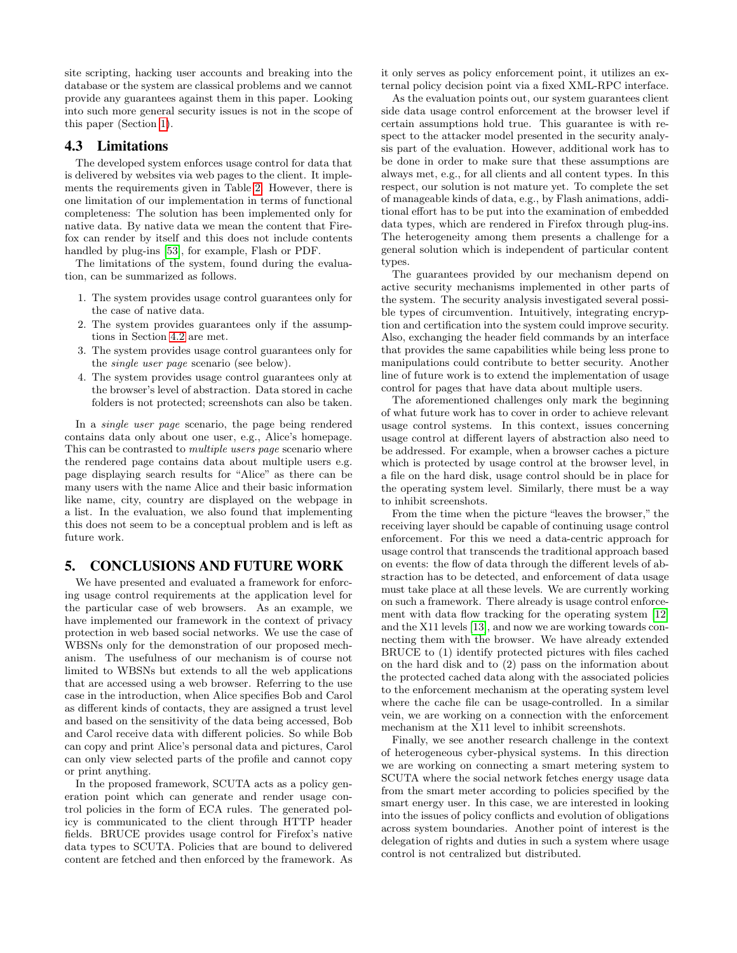site scripting, hacking user accounts and breaking into the database or the system are classical problems and we cannot provide any guarantees against them in this paper. Looking into such more general security issues is not in the scope of this paper (Section [1\)](#page-0-0).

## <span id="page-9-1"></span>4.3 Limitations

The developed system enforces usage control for data that is delivered by websites via web pages to the client. It implements the requirements given in Table [2.](#page-3-1) However, there is one limitation of our implementation in terms of functional completeness: The solution has been implemented only for native data. By native data we mean the content that Firefox can render by itself and this does not include contents handled by plug-ins [\[53\]](#page-11-18), for example, Flash or PDF.

The limitations of the system, found during the evaluation, can be summarized as follows.

- 1. The system provides usage control guarantees only for the case of native data.
- 2. The system provides guarantees only if the assumptions in Section [4.2](#page-8-0) are met.
- 3. The system provides usage control guarantees only for the single user page scenario (see below).
- 4. The system provides usage control guarantees only at the browser's level of abstraction. Data stored in cache folders is not protected; screenshots can also be taken.

In a single user page scenario, the page being rendered contains data only about one user, e.g., Alice's homepage. This can be contrasted to multiple users page scenario where the rendered page contains data about multiple users e.g. page displaying search results for "Alice" as there can be many users with the name Alice and their basic information like name, city, country are displayed on the webpage in a list. In the evaluation, we also found that implementing this does not seem to be a conceptual problem and is left as future work.

## <span id="page-9-0"></span>5. CONCLUSIONS AND FUTURE WORK

We have presented and evaluated a framework for enforcing usage control requirements at the application level for the particular case of web browsers. As an example, we have implemented our framework in the context of privacy protection in web based social networks. We use the case of WBSNs only for the demonstration of our proposed mechanism. The usefulness of our mechanism is of course not limited to WBSNs but extends to all the web applications that are accessed using a web browser. Referring to the use case in the introduction, when Alice specifies Bob and Carol as different kinds of contacts, they are assigned a trust level and based on the sensitivity of the data being accessed, Bob and Carol receive data with different policies. So while Bob can copy and print Alice's personal data and pictures, Carol can only view selected parts of the profile and cannot copy or print anything.

In the proposed framework, SCUTA acts as a policy generation point which can generate and render usage control policies in the form of ECA rules. The generated policy is communicated to the client through HTTP header fields. BRUCE provides usage control for Firefox's native data types to SCUTA. Policies that are bound to delivered content are fetched and then enforced by the framework. As it only serves as policy enforcement point, it utilizes an external policy decision point via a fixed XML-RPC interface.

As the evaluation points out, our system guarantees client side data usage control enforcement at the browser level if certain assumptions hold true. This guarantee is with respect to the attacker model presented in the security analysis part of the evaluation. However, additional work has to be done in order to make sure that these assumptions are always met, e.g., for all clients and all content types. In this respect, our solution is not mature yet. To complete the set of manageable kinds of data, e.g., by Flash animations, additional effort has to be put into the examination of embedded data types, which are rendered in Firefox through plug-ins. The heterogeneity among them presents a challenge for a general solution which is independent of particular content types.

The guarantees provided by our mechanism depend on active security mechanisms implemented in other parts of the system. The security analysis investigated several possible types of circumvention. Intuitively, integrating encryption and certification into the system could improve security. Also, exchanging the header field commands by an interface that provides the same capabilities while being less prone to manipulations could contribute to better security. Another line of future work is to extend the implementation of usage control for pages that have data about multiple users.

The aforementioned challenges only mark the beginning of what future work has to cover in order to achieve relevant usage control systems. In this context, issues concerning usage control at different layers of abstraction also need to be addressed. For example, when a browser caches a picture which is protected by usage control at the browser level, in a file on the hard disk, usage control should be in place for the operating system level. Similarly, there must be a way to inhibit screenshots.

From the time when the picture "leaves the browser," the receiving layer should be capable of continuing usage control enforcement. For this we need a data-centric approach for usage control that transcends the traditional approach based on events: the flow of data through the different levels of abstraction has to be detected, and enforcement of data usage must take place at all these levels. We are currently working on such a framework. There already is usage control enforcement with data flow tracking for the operating system [\[12\]](#page-10-5) and the X11 levels [\[13\]](#page-10-6), and now we are working towards connecting them with the browser. We have already extended BRUCE to (1) identify protected pictures with files cached on the hard disk and to (2) pass on the information about the protected cached data along with the associated policies to the enforcement mechanism at the operating system level where the cache file can be usage-controlled. In a similar vein, we are working on a connection with the enforcement mechanism at the X11 level to inhibit screenshots.

Finally, we see another research challenge in the context of heterogeneous cyber-physical systems. In this direction we are working on connecting a smart metering system to SCUTA where the social network fetches energy usage data from the smart meter according to policies specified by the smart energy user. In this case, we are interested in looking into the issues of policy conflicts and evolution of obligations across system boundaries. Another point of interest is the delegation of rights and duties in such a system where usage control is not centralized but distributed.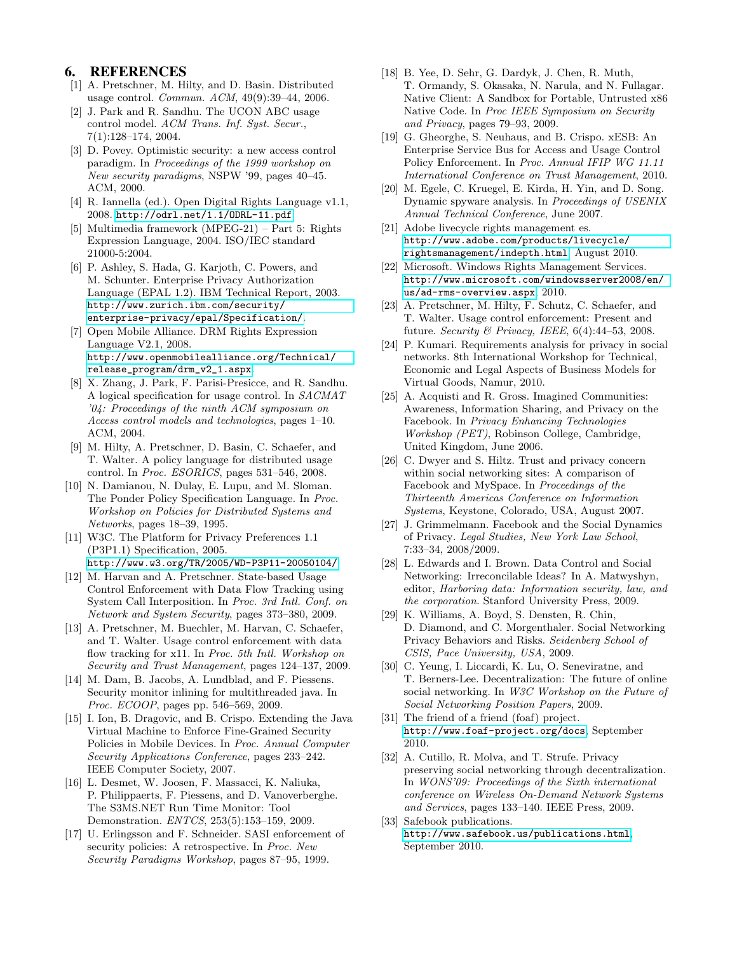## 6. REFERENCES

- <span id="page-10-0"></span>[1] A. Pretschner, M. Hilty, and D. Basin. Distributed usage control. Commun. ACM, 49(9):39–44, 2006.
- <span id="page-10-1"></span>[2] J. Park and R. Sandhu. The UCON ABC usage control model. ACM Trans. Inf. Syst. Secur., 7(1):128–174, 2004.
- <span id="page-10-2"></span>[3] D. Povey. Optimistic security: a new access control paradigm. In Proceedings of the 1999 workshop on New security paradigms, NSPW '99, pages 40–45. ACM, 2000.
- <span id="page-10-3"></span>[4] R. Iannella (ed.). Open Digital Rights Language v1.1, 2008. <http://odrl.net/1.1/ODRL-11.pdf>.
- [5] Multimedia framework (MPEG-21) Part 5: Rights Expression Language, 2004. ISO/IEC standard 21000-5:2004.
- [6] P. Ashley, S. Hada, G. Karjoth, C. Powers, and M. Schunter. Enterprise Privacy Authorization Language (EPAL 1.2). IBM Technical Report, 2003. [http://www.zurich.ibm.com/security/](http://www.zurich.ibm.com/security/enterprise-privacy/epal/Specification/) [enterprise-privacy/epal/Specification/](http://www.zurich.ibm.com/security/enterprise-privacy/epal/Specification/).
- [7] Open Mobile Alliance. DRM Rights Expression Language V2.1, 2008. [http://www.openmobilealliance.org/Technical/](http://www.openmobilealliance.org/Technical/release_program/drm_v2_1.aspx) [release\\_program/drm\\_v2\\_1.aspx](http://www.openmobilealliance.org/Technical/release_program/drm_v2_1.aspx).
- [8] X. Zhang, J. Park, F. Parisi-Presicce, and R. Sandhu. A logical specification for usage control. In SACMAT '04: Proceedings of the ninth ACM symposium on Access control models and technologies, pages 1–10. ACM, 2004.
- <span id="page-10-23"></span>[9] M. Hilty, A. Pretschner, D. Basin, C. Schaefer, and T. Walter. A policy language for distributed usage control. In Proc. ESORICS, pages 531–546, 2008.
- [10] N. Damianou, N. Dulay, E. Lupu, and M. Sloman. The Ponder Policy Specification Language. In Proc. Workshop on Policies for Distributed Systems and Networks, pages 18–39, 1995.
- <span id="page-10-4"></span>[11] W3C. The Platform for Privacy Preferences 1.1 (P3P1.1) Specification, 2005. <http://www.w3.org/TR/2005/WD-P3P11-20050104/>.
- <span id="page-10-5"></span>[12] M. Harvan and A. Pretschner. State-based Usage Control Enforcement with Data Flow Tracking using System Call Interposition. In Proc. 3rd Intl. Conf. on Network and System Security, pages 373–380, 2009.
- <span id="page-10-6"></span>[13] A. Pretschner, M. Buechler, M. Harvan, C. Schaefer, and T. Walter. Usage control enforcement with data flow tracking for x11. In Proc. 5th Intl. Workshop on Security and Trust Management, pages 124–137, 2009.
- <span id="page-10-7"></span>[14] M. Dam, B. Jacobs, A. Lundblad, and F. Piessens. Security monitor inlining for multithreaded java. In Proc. ECOOP, pages pp. 546–569, 2009.
- <span id="page-10-8"></span>[15] I. Ion, B. Dragovic, and B. Crispo. Extending the Java Virtual Machine to Enforce Fine-Grained Security Policies in Mobile Devices. In Proc. Annual Computer Security Applications Conference, pages 233–242. IEEE Computer Society, 2007.
- <span id="page-10-9"></span>[16] L. Desmet, W. Joosen, F. Massacci, K. Naliuka, P. Philippaerts, F. Piessens, and D. Vanoverberghe. The S3MS.NET Run Time Monitor: Tool Demonstration. ENTCS, 253(5):153–159, 2009.
- <span id="page-10-10"></span>[17] U. Erlingsson and F. Schneider. SASI enforcement of security policies: A retrospective. In Proc. New Security Paradigms Workshop, pages 87–95, 1999.
- <span id="page-10-11"></span>[18] B. Yee, D. Sehr, G. Dardyk, J. Chen, R. Muth, T. Ormandy, S. Okasaka, N. Narula, and N. Fullagar. Native Client: A Sandbox for Portable, Untrusted x86 Native Code. In Proc IEEE Symposium on Security and Privacy, pages 79–93, 2009.
- <span id="page-10-12"></span>[19] G. Gheorghe, S. Neuhaus, and B. Crispo. xESB: An Enterprise Service Bus for Access and Usage Control Policy Enforcement. In Proc. Annual IFIP WG 11.11 International Conference on Trust Management, 2010.
- <span id="page-10-13"></span>[20] M. Egele, C. Kruegel, E. Kirda, H. Yin, and D. Song. Dynamic spyware analysis. In Proceedings of USENIX Annual Technical Conference, June 2007.
- <span id="page-10-14"></span>[21] Adobe livecycle rights management es. [http://www.adobe.com/products/livecycle/](http://www.adobe.com/products/livecycle/rightsmanagement/indepth.html) [rightsmanagement/indepth.html](http://www.adobe.com/products/livecycle/rightsmanagement/indepth.html), August 2010.
- [22] Microsoft. Windows Rights Management Services. [http://www.microsoft.com/windowsserver2008/en/](http://www.microsoft.com/windowsserver2008/en/us/ad-rms-overview.aspx) [us/ad-rms-overview.aspx](http://www.microsoft.com/windowsserver2008/en/us/ad-rms-overview.aspx), 2010.
- <span id="page-10-15"></span>[23] A. Pretschner, M. Hilty, F. Schutz, C. Schaefer, and T. Walter. Usage control enforcement: Present and future. Security & Privacy, IEEE,  $6(4):44-53$ , 2008.
- <span id="page-10-16"></span>[24] P. Kumari. Requirements analysis for privacy in social networks. 8th International Workshop for Technical, Economic and Legal Aspects of Business Models for Virtual Goods, Namur, 2010.
- <span id="page-10-17"></span>[25] A. Acquisti and R. Gross. Imagined Communities: Awareness, Information Sharing, and Privacy on the Facebook. In Privacy Enhancing Technologies Workshop (PET), Robinson College, Cambridge, United Kingdom, June 2006.
- [26] C. Dwyer and S. Hiltz. Trust and privacy concern within social networking sites: A comparison of Facebook and MySpace. In Proceedings of the Thirteenth Americas Conference on Information Systems, Keystone, Colorado, USA, August 2007.
- [27] J. Grimmelmann. Facebook and the Social Dynamics of Privacy. Legal Studies, New York Law School, 7:33–34, 2008/2009.
- [28] L. Edwards and I. Brown. Data Control and Social Networking: Irreconcilable Ideas? In A. Matwyshyn, editor, Harboring data: Information security, law, and the corporation. Stanford University Press, 2009.
- <span id="page-10-18"></span>[29] K. Williams, A. Boyd, S. Densten, R. Chin, D. Diamond, and C. Morgenthaler. Social Networking Privacy Behaviors and Risks. Seidenberg School of CSIS, Pace University, USA, 2009.
- <span id="page-10-19"></span>[30] C. Yeung, I. Liccardi, K. Lu, O. Seneviratne, and T. Berners-Lee. Decentralization: The future of online social networking. In W3C Workshop on the Future of Social Networking Position Papers, 2009.
- <span id="page-10-20"></span>[31] The friend of a friend (foaf) project. <http://www.foaf-project.org/docs>, September 2010.
- <span id="page-10-21"></span>[32] A. Cutillo, R. Molva, and T. Strufe. Privacy preserving social networking through decentralization. In WONS'09: Proceedings of the Sixth international conference on Wireless On-Demand Network Systems and Services, pages 133–140. IEEE Press, 2009.
- <span id="page-10-22"></span>[33] Safebook publications. <http://www.safebook.us/publications.html>, September 2010.